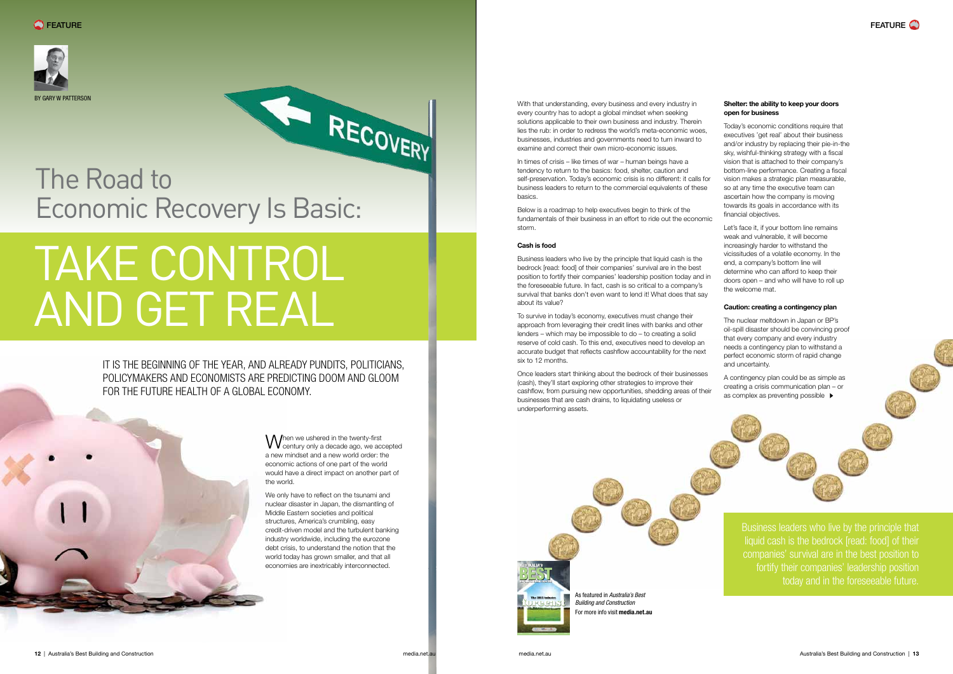

When we ushered in the twenty-first<br>Wentury only a decade ago, we accepted a new mindset and a new world order: the economic actions of one part of the world would have a direct impact on another part of the world.

We only have to reflect on the tsunami and nuclear disaster in Japan, the dismantling of Middle Eastern societies and political structures, America's crumbling, easy credit-driven model and the turbulent banking industry worldwide, including the eurozone debt crisis, to understand the notion that the world today has grown smaller, and that all economies are inextricably interconnected.

With that understanding, every business and every industry in every country has to adopt a global mindset when seeking solutions applicable to their own business and industry. Therein lies the rub: in order to redress the world's meta-economic woes, businesses, industries and governments need to turn inward to examine and correct their own micro-economic issues.

In times of crisis – like times of war – human beings have a tendency to return to the basics: food, shelter, caution and self-preservation. Today's economic crisis is no different: it calls for business leaders to return to the commercial equivalents of these basics.

Below is a roadmap to help executives begin to think of the fundamentals of their business in an effort to ride out the economic storm.

## Cash is food

Business leaders who live by the principle that liquid cash is the bedrock [read: food] of their companies' survival are in the best position to fortify their companies' leadership position today and in the foreseeable future. In fact, cash is so critical to a company's survival that banks don't even want to lend it! What does that say about its value?

> A contingency plan could be as simple as creating a crisis communication plan – or as complex as preventing possible  $\blacktriangleright$

## RECOVERY The Road to Economic Recovery Is Basic:

# TAKE CONTROL AND GET REAL

It is the beginning of the year, and already pundits, politicians, policymakers and economists are predicting doom and gloom FOR THE FUTURE HEALTH OF A GLOBAL ECONOMY.



To survive in today's economy, executives must change their approach from leveraging their credit lines with banks and other lenders – which may be impossible to do – to creating a solid reserve of cold cash. To this end, executives need to develop an accurate budget that reflects cashflow accountability for the next six to 12 months.

Once leaders start thinking about the bedrock of their businesses (cash), they'll start exploring other strategies to improve their cashflow, from pursuing new opportunities, shedding areas of their businesses that are cash drains, to liquidating useless or underperforming assets.

### Shelter: the ability to keep your doors open for business

Today's economic conditions require that executives 'get real' about their business and/or industry by replacing their pie-in-the sky, wishful-thinking strategy with a fiscal vision that is attached to their company's bottom-line performance. Creating a fiscal vision makes a strategic plan measurable, so at any time the executive team can ascertain how the company is moving towards its goals in accordance with its financial objectives.

Let's face it, if your bottom line remains weak and vulnerable, it will become increasingly harder to withstand the vicissitudes of a volatile economy. In the end, a company's bottom line will determine who can afford to keep their doors open – and who will have to roll up the welcome mat.

### Caution: creating a contingency plan

The nuclear meltdown in Japan or BP's oil-spill disaster should be convincing proof that every company and every industry needs a contingency plan to withstand a perfect economic storm of rapid change and uncertainty.



Business leaders who live by the principle that liquid cash is the bedrock [read: food] of their companies' survival are in the best position to fortify their companies' leadership position today and in the foreseeable future.